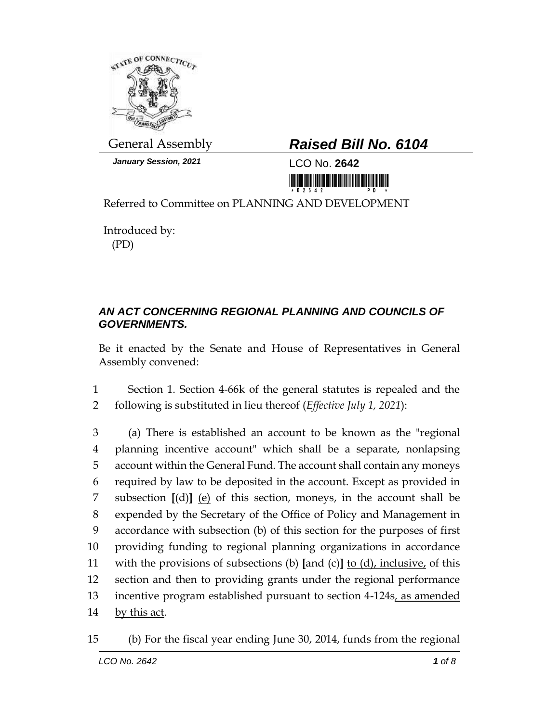

*January Session, 2021* LCO No. **2642**

## General Assembly *Raised Bill No. 6104*

<u>nin kutha kutha mana mana mainta main</u>

Referred to Committee on PLANNING AND DEVELOPMENT

Introduced by: (PD)

## *AN ACT CONCERNING REGIONAL PLANNING AND COUNCILS OF GOVERNMENTS.*

Be it enacted by the Senate and House of Representatives in General Assembly convened:

1 Section 1. Section 4-66k of the general statutes is repealed and the 2 following is substituted in lieu thereof (*Effective July 1, 2021*):

 (a) There is established an account to be known as the "regional planning incentive account" which shall be a separate, nonlapsing account within the General Fund. The account shall contain any moneys required by law to be deposited in the account. Except as provided in subsection **[**(d)**]** (e) of this section, moneys, in the account shall be expended by the Secretary of the Office of Policy and Management in accordance with subsection (b) of this section for the purposes of first providing funding to regional planning organizations in accordance with the provisions of subsections (b) **[**and (c)**]** to (d), inclusive, of this section and then to providing grants under the regional performance 13 incentive program established pursuant to section 4-124s, as amended 14 by this act.

<sup>15</sup> (b) For the fiscal year ending June 30, 2014, funds from the regional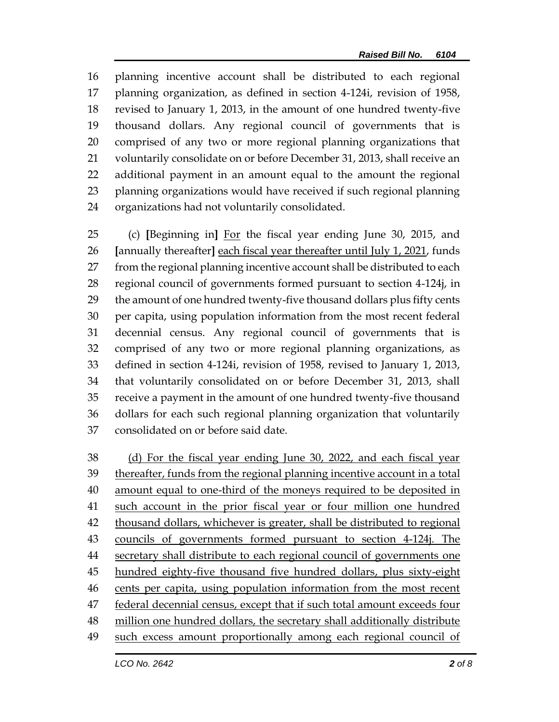planning incentive account shall be distributed to each regional planning organization, as defined in section 4-124i, revision of 1958, revised to January 1, 2013, in the amount of one hundred twenty-five thousand dollars. Any regional council of governments that is comprised of any two or more regional planning organizations that voluntarily consolidate on or before December 31, 2013, shall receive an additional payment in an amount equal to the amount the regional planning organizations would have received if such regional planning organizations had not voluntarily consolidated.

 (c) **[**Beginning in**]** For the fiscal year ending June 30, 2015, and **[**annually thereafter**]** each fiscal year thereafter until July 1, 2021, funds from the regional planning incentive account shall be distributed to each regional council of governments formed pursuant to section 4-124j, in the amount of one hundred twenty-five thousand dollars plus fifty cents per capita, using population information from the most recent federal decennial census. Any regional council of governments that is comprised of any two or more regional planning organizations, as defined in section 4-124i, revision of 1958, revised to January 1, 2013, that voluntarily consolidated on or before December 31, 2013, shall receive a payment in the amount of one hundred twenty-five thousand dollars for each such regional planning organization that voluntarily consolidated on or before said date.

 (d) For the fiscal year ending June 30, 2022, and each fiscal year thereafter, funds from the regional planning incentive account in a total 40 amount equal to one-third of the moneys required to be deposited in such account in the prior fiscal year or four million one hundred thousand dollars, whichever is greater, shall be distributed to regional councils of governments formed pursuant to section 4-124j. The secretary shall distribute to each regional council of governments one hundred eighty-five thousand five hundred dollars, plus sixty-eight cents per capita, using population information from the most recent 47 federal decennial census, except that if such total amount exceeds four million one hundred dollars, the secretary shall additionally distribute such excess amount proportionally among each regional council of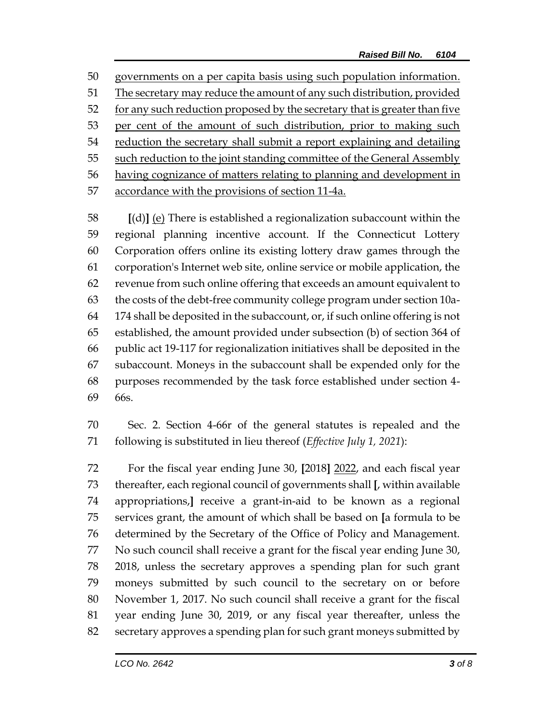governments on a per capita basis using such population information. 51 The secretary may reduce the amount of any such distribution, provided 52 for any such reduction proposed by the secretary that is greater than five per cent of the amount of such distribution, prior to making such reduction the secretary shall submit a report explaining and detailing 55 such reduction to the joint standing committee of the General Assembly having cognizance of matters relating to planning and development in 57 accordance with the provisions of section 11-4a.

 **[**(d)**]** (e) There is established a regionalization subaccount within the regional planning incentive account. If the Connecticut Lottery Corporation offers online its existing lottery draw games through the corporation's Internet web site, online service or mobile application, the revenue from such online offering that exceeds an amount equivalent to the costs of the debt-free community college program under section 10a- 174 shall be deposited in the subaccount, or, if such online offering is not established, the amount provided under subsection (b) of section 364 of public act 19-117 for regionalization initiatives shall be deposited in the subaccount. Moneys in the subaccount shall be expended only for the purposes recommended by the task force established under section 4- 66s.

 Sec. 2. Section 4-66r of the general statutes is repealed and the following is substituted in lieu thereof (*Effective July 1, 2021*):

 For the fiscal year ending June 30, **[**2018**]** 2022, and each fiscal year thereafter, each regional council of governments shall **[**, within available appropriations,**]** receive a grant-in-aid to be known as a regional services grant, the amount of which shall be based on **[**a formula to be determined by the Secretary of the Office of Policy and Management. No such council shall receive a grant for the fiscal year ending June 30, 2018, unless the secretary approves a spending plan for such grant moneys submitted by such council to the secretary on or before November 1, 2017. No such council shall receive a grant for the fiscal year ending June 30, 2019, or any fiscal year thereafter, unless the secretary approves a spending plan for such grant moneys submitted by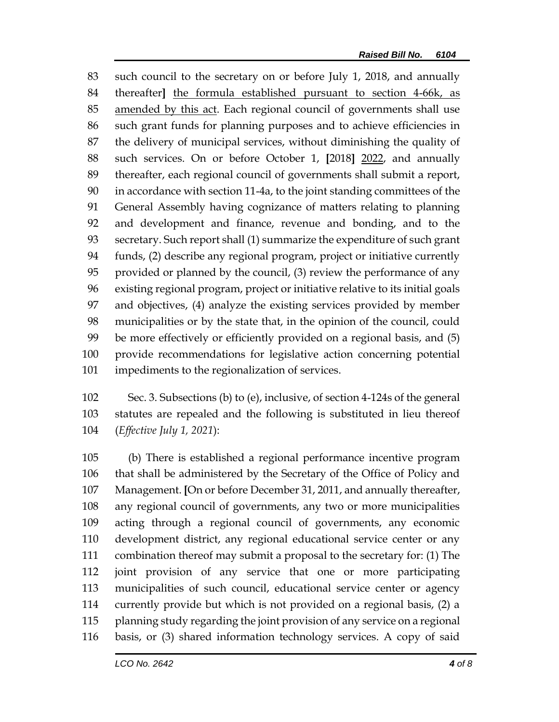such council to the secretary on or before July 1, 2018, and annually thereafter**]** the formula established pursuant to section 4-66k, as amended by this act. Each regional council of governments shall use such grant funds for planning purposes and to achieve efficiencies in the delivery of municipal services, without diminishing the quality of such services. On or before October 1, **[**2018**]** 2022, and annually thereafter, each regional council of governments shall submit a report, in accordance with section 11-4a, to the joint standing committees of the General Assembly having cognizance of matters relating to planning and development and finance, revenue and bonding, and to the secretary. Such report shall (1) summarize the expenditure of such grant funds, (2) describe any regional program, project or initiative currently provided or planned by the council, (3) review the performance of any existing regional program, project or initiative relative to its initial goals and objectives, (4) analyze the existing services provided by member municipalities or by the state that, in the opinion of the council, could be more effectively or efficiently provided on a regional basis, and (5) provide recommendations for legislative action concerning potential impediments to the regionalization of services.

 Sec. 3. Subsections (b) to (e), inclusive, of section 4-124s of the general statutes are repealed and the following is substituted in lieu thereof (*Effective July 1, 2021*):

 (b) There is established a regional performance incentive program that shall be administered by the Secretary of the Office of Policy and Management. **[**On or before December 31, 2011, and annually thereafter, any regional council of governments, any two or more municipalities acting through a regional council of governments, any economic development district, any regional educational service center or any combination thereof may submit a proposal to the secretary for: (1) The joint provision of any service that one or more participating municipalities of such council, educational service center or agency currently provide but which is not provided on a regional basis, (2) a planning study regarding the joint provision of any service on a regional basis, or (3) shared information technology services. A copy of said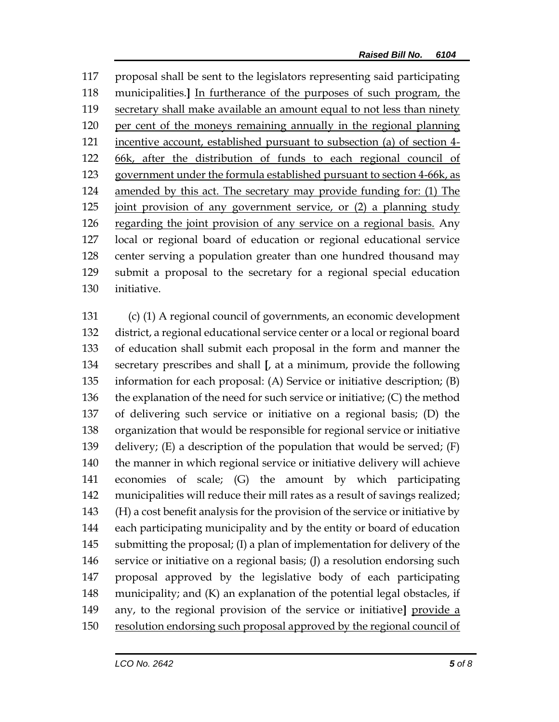proposal shall be sent to the legislators representing said participating municipalities.**]** In furtherance of the purposes of such program, the secretary shall make available an amount equal to not less than ninety per cent of the moneys remaining annually in the regional planning incentive account, established pursuant to subsection (a) of section 4- 66k, after the distribution of funds to each regional council of 123 government under the formula established pursuant to section 4-66k, as amended by this act. The secretary may provide funding for: (1) The joint provision of any government service, or (2) a planning study 126 regarding the joint provision of any service on a regional basis. Any local or regional board of education or regional educational service center serving a population greater than one hundred thousand may submit a proposal to the secretary for a regional special education initiative.

 (c) (1) A regional council of governments, an economic development district, a regional educational service center or a local or regional board of education shall submit each proposal in the form and manner the secretary prescribes and shall **[**, at a minimum, provide the following information for each proposal: (A) Service or initiative description; (B) the explanation of the need for such service or initiative; (C) the method of delivering such service or initiative on a regional basis; (D) the organization that would be responsible for regional service or initiative 139 delivery;  $(E)$  a description of the population that would be served;  $(F)$  the manner in which regional service or initiative delivery will achieve economies of scale; (G) the amount by which participating municipalities will reduce their mill rates as a result of savings realized; (H) a cost benefit analysis for the provision of the service or initiative by each participating municipality and by the entity or board of education submitting the proposal; (I) a plan of implementation for delivery of the service or initiative on a regional basis; (J) a resolution endorsing such proposal approved by the legislative body of each participating municipality; and (K) an explanation of the potential legal obstacles, if any, to the regional provision of the service or initiative**]** provide a resolution endorsing such proposal approved by the regional council of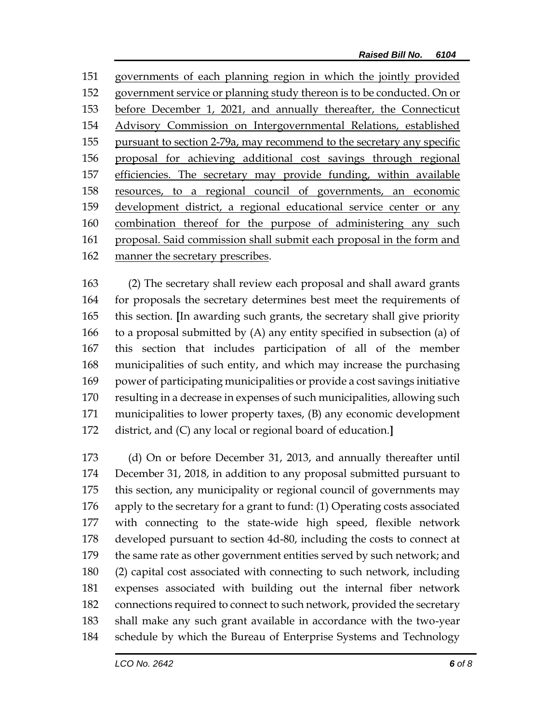governments of each planning region in which the jointly provided government service or planning study thereon is to be conducted. On or before December 1, 2021, and annually thereafter, the Connecticut Advisory Commission on Intergovernmental Relations, established pursuant to section 2-79a, may recommend to the secretary any specific proposal for achieving additional cost savings through regional efficiencies. The secretary may provide funding, within available resources, to a regional council of governments, an economic development district, a regional educational service center or any combination thereof for the purpose of administering any such proposal. Said commission shall submit each proposal in the form and manner the secretary prescribes.

 (2) The secretary shall review each proposal and shall award grants for proposals the secretary determines best meet the requirements of this section. **[**In awarding such grants, the secretary shall give priority to a proposal submitted by (A) any entity specified in subsection (a) of this section that includes participation of all of the member municipalities of such entity, and which may increase the purchasing power of participating municipalities or provide a cost savings initiative resulting in a decrease in expenses of such municipalities, allowing such municipalities to lower property taxes, (B) any economic development district, and (C) any local or regional board of education.**]**

 (d) On or before December 31, 2013, and annually thereafter until December 31, 2018, in addition to any proposal submitted pursuant to this section, any municipality or regional council of governments may apply to the secretary for a grant to fund: (1) Operating costs associated with connecting to the state-wide high speed, flexible network developed pursuant to section 4d-80, including the costs to connect at the same rate as other government entities served by such network; and (2) capital cost associated with connecting to such network, including expenses associated with building out the internal fiber network connections required to connect to such network, provided the secretary shall make any such grant available in accordance with the two-year schedule by which the Bureau of Enterprise Systems and Technology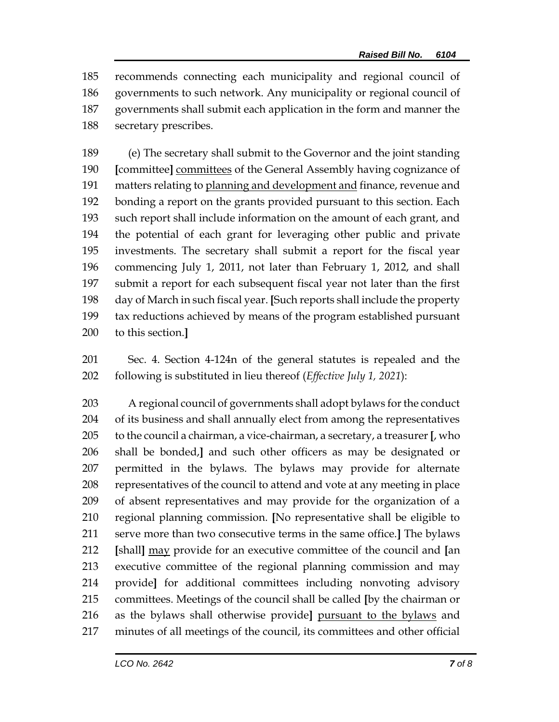recommends connecting each municipality and regional council of governments to such network. Any municipality or regional council of governments shall submit each application in the form and manner the secretary prescribes.

 (e) The secretary shall submit to the Governor and the joint standing **[**committee**]** committees of the General Assembly having cognizance of 191 matters relating to planning and development and finance, revenue and bonding a report on the grants provided pursuant to this section. Each such report shall include information on the amount of each grant, and the potential of each grant for leveraging other public and private investments. The secretary shall submit a report for the fiscal year commencing July 1, 2011, not later than February 1, 2012, and shall submit a report for each subsequent fiscal year not later than the first day of March in such fiscal year. **[**Such reports shall include the property tax reductions achieved by means of the program established pursuant to this section.**]**

 Sec. 4. Section 4-124n of the general statutes is repealed and the following is substituted in lieu thereof (*Effective July 1, 2021*):

 A regional council of governments shall adopt bylaws for the conduct of its business and shall annually elect from among the representatives to the council a chairman, a vice-chairman, a secretary, a treasurer **[**, who shall be bonded,**]** and such other officers as may be designated or permitted in the bylaws. The bylaws may provide for alternate representatives of the council to attend and vote at any meeting in place of absent representatives and may provide for the organization of a regional planning commission. **[**No representative shall be eligible to serve more than two consecutive terms in the same office.**]** The bylaws **[**shall**]** may provide for an executive committee of the council and **[**an executive committee of the regional planning commission and may provide**]** for additional committees including nonvoting advisory committees. Meetings of the council shall be called **[**by the chairman or as the bylaws shall otherwise provide**]** pursuant to the bylaws and minutes of all meetings of the council, its committees and other official